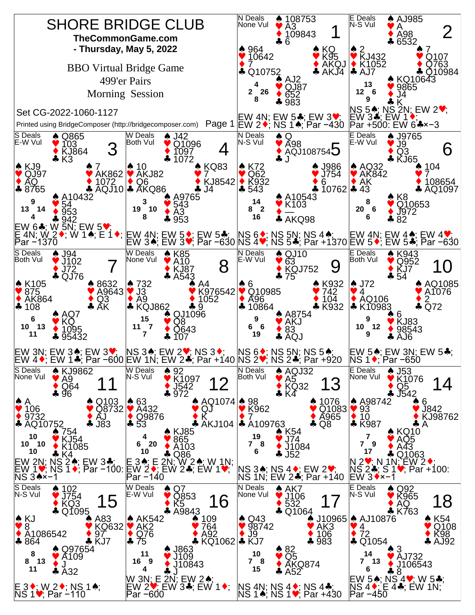